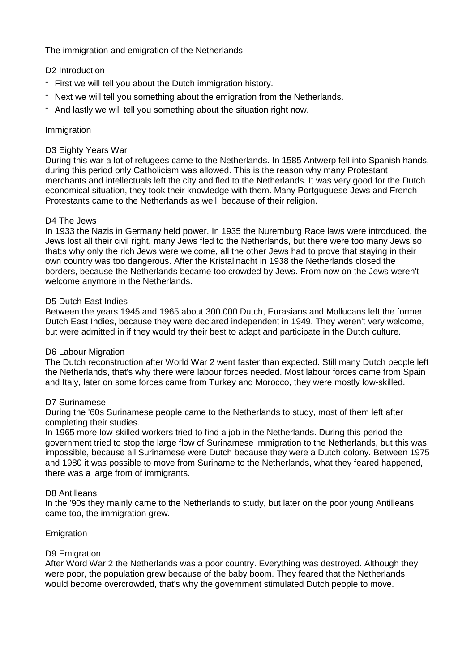The immigration and emigration of the Netherlands

# D<sub>2</sub> Introduction

- First we will tell you about the Dutch immigration history.
- Next we will tell you something about the emigration from the Netherlands.
- And lastly we will tell you something about the situation right now.

# Immigration

## D3 Eighty Years War

During this war a lot of refugees came to the Netherlands. In 1585 Antwerp fell into Spanish hands, during this period only Catholicism was allowed. This is the reason why many Protestant merchants and intellectuals left the city and fled to the Netherlands. It was very good for the Dutch economical situation, they took their knowledge with them. Many Portguguese Jews and French Protestants came to the Netherlands as well, because of their religion.

## D4 The Jews

In 1933 the Nazis in Germany held power. In 1935 the Nuremburg Race laws were introduced, the Jews lost all their civil right, many Jews fled to the Netherlands, but there were too many Jews so that;s why only the rich Jews were welcome, all the other Jews had to prove that staying in their own country was too dangerous. After the Kristallnacht in 1938 the Netherlands closed the borders, because the Netherlands became too crowded by Jews. From now on the Jews weren't welcome anymore in the Netherlands.

## D5 Dutch East Indies

Between the years 1945 and 1965 about 300.000 Dutch, Eurasians and Mollucans left the former Dutch East Indies, because they were declared independent in 1949. They weren't very welcome, but were admitted in if they would try their best to adapt and participate in the Dutch culture.

## D6 Labour Migration

The Dutch reconstruction after World War 2 went faster than expected. Still many Dutch people left the Netherlands, that's why there were labour forces needed. Most labour forces came from Spain and Italy, later on some forces came from Turkey and Morocco, they were mostly low-skilled.

## D7 Surinamese

During the '60s Surinamese people came to the Netherlands to study, most of them left after completing their studies.

In 1965 more low-skilled workers tried to find a job in the Netherlands. During this period the government tried to stop the large flow of Surinamese immigration to the Netherlands, but this was impossible, because all Surinamese were Dutch because they were a Dutch colony. Between 1975 and 1980 it was possible to move from Suriname to the Netherlands, what they feared happened, there was a large from of immigrants.

## D8 Antilleans

In the '90s they mainly came to the Netherlands to study, but later on the poor young Antilleans came too, the immigration grew.

## Emigration

## D9 Emigration

After Word War 2 the Netherlands was a poor country. Everything was destroyed. Although they were poor, the population grew because of the baby boom. They feared that the Netherlands would become overcrowded, that's why the government stimulated Dutch people to move.